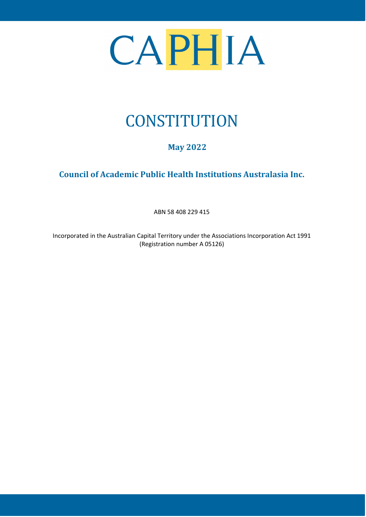

# **CONSTITUTION**

# **May 2022**

# **Council of Academic Public Health Institutions Australasia Inc.**

ABN 58 408 229 415

Incorporated in the Australian Capital Territory under the Associations Incorporation Act 1991 (Registration number A 05126)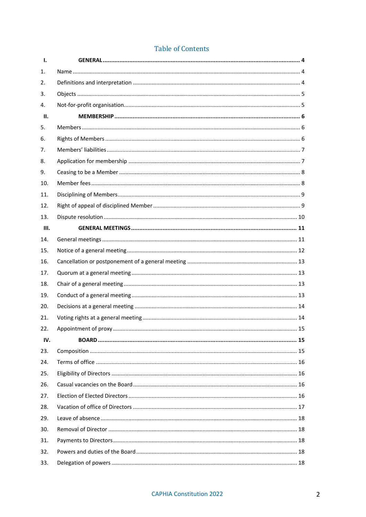| <b>Table of Contents</b> |  |  |  |  |
|--------------------------|--|--|--|--|
|--------------------------|--|--|--|--|

| Ι.   |  |
|------|--|
| 1.   |  |
| 2.   |  |
| 3.   |  |
| 4.   |  |
| II.  |  |
| 5.   |  |
| 6.   |  |
| 7.   |  |
| 8.   |  |
| 9.   |  |
| 10.  |  |
| 11.  |  |
| 12.  |  |
| 13.  |  |
| III. |  |
| 14.  |  |
| 15.  |  |
| 16.  |  |
| 17.  |  |
| 18.  |  |
| 19.  |  |
| 20.  |  |
| 21.  |  |
| 22.  |  |
| IV.  |  |
| 23.  |  |
| 24.  |  |
| 25.  |  |
| 26.  |  |
| 27.  |  |
| 28.  |  |
| 29.  |  |
| 30.  |  |
| 31.  |  |
| 32.  |  |
| 33.  |  |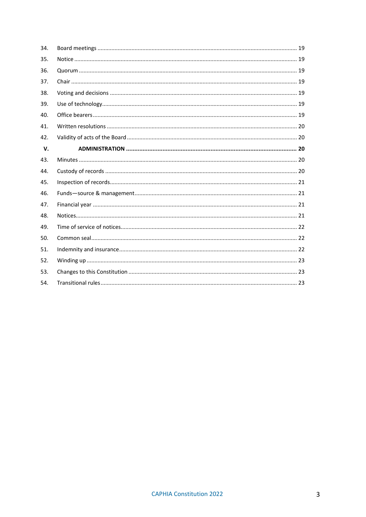| 34. |  |
|-----|--|
| 35. |  |
| 36. |  |
| 37. |  |
| 38. |  |
| 39. |  |
| 40. |  |
| 41. |  |
| 42. |  |
| V.  |  |
| 43. |  |
| 44. |  |
| 45. |  |
| 46. |  |
| 47. |  |
| 48. |  |
| 49. |  |
| 50. |  |
| 51. |  |
| 52. |  |
| 53. |  |
|     |  |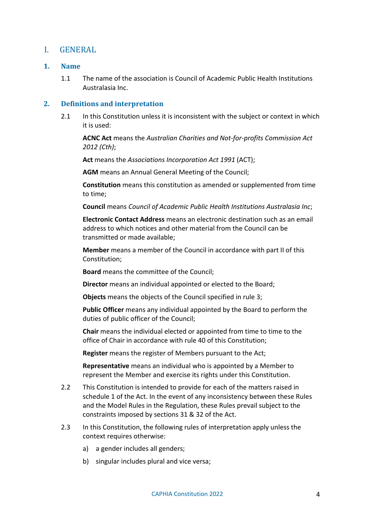# <span id="page-3-0"></span>I. GENERAL

# <span id="page-3-1"></span>**1. Name**

1.1 The name of the association is Council of Academic Public Health Institutions Australasia Inc.

# <span id="page-3-2"></span>**2. Definitions and interpretation**

2.1 In this Constitution unless it is inconsistent with the subject or context in which it is used:

**ACNC Act** means the *Australian Charities and Not-for-profits Commission Act 2012 (Cth)*;

**Act** means the *Associations Incorporation Act 1991* (ACT);

**AGM** means an Annual General Meeting of the Council;

**Constitution** means this constitution as amended or supplemented from time to time;

**Council** means *Council of Academic Public Health Institutions Australasia Inc*;

**Electronic Contact Address** means an electronic destination such as an email address to which notices and other material from the Council can be transmitted or made available;

**Member** means a member of the Council in accordance with part [II](#page-5-0) of this Constitution;

**Board** means the committee of the Council;

**Director** means an individual appointed or elected to the Board;

**Objects** means the objects of the Council specified in rule [3;](#page-4-0)

**Public Officer** means any individual appointed by the Board to perform the duties of public officer of the Council;

**Chair** means the individual elected or appointed from time to time to the office of Chair in accordance with rule [40](#page-18-6) of this Constitution;

**Register** means the register of Members pursuant to the Act;

**Representative** means an individual who is appointed by a Member to represent the Member and exercise its rights under this Constitution.

- 2.2 This Constitution is intended to provide for each of the matters raised in schedule 1 of the Act. In the event of any inconsistency between these Rules and the Model Rules in the Regulation, these Rules prevail subject to the constraints imposed by sections 31 & 32 of the Act.
- 2.3 In this Constitution, the following rules of interpretation apply unless the context requires otherwise:
	- a) a gender includes all genders;
	- b) singular includes plural and vice versa;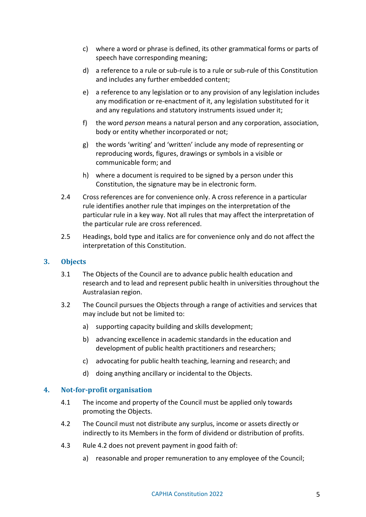- c) where a word or phrase is defined, its other grammatical forms or parts of speech have corresponding meaning;
- d) a reference to a rule or sub-rule is to a rule or sub-rule of this Constitution and includes any further embedded content;
- e) a reference to any legislation or to any provision of any legislation includes any modification or re-enactment of it, any legislation substituted for it and any regulations and statutory instruments issued under it;
- f) the word *person* means a natural person and any corporation, association, body or entity whether incorporated or not;
- g) the words 'writing' and 'written' include any mode of representing or reproducing words, figures, drawings or symbols in a visible or communicable form; and
- h) where a document is required to be signed by a person under this Constitution, the signature may be in electronic form.
- 2.4 Cross references are for convenience only. A cross reference in a particular rule identifies another rule that impinges on the interpretation of the particular rule in a key way. Not all rules that may affect the interpretation of the particular rule are cross referenced.
- 2.5 Headings, bold type and italics are for convenience only and do not affect the interpretation of this Constitution.

# <span id="page-4-0"></span>**3. Objects**

- 3.1 The Objects of the Council are to advance public health education and research and to lead and represent public health in universities throughout the Australasian region.
- 3.2 The Council pursues the Objects through a range of activities and services that may include but not be limited to:
	- a) supporting capacity building and skills development;
	- b) advancing excellence in academic standards in the education and development of public health practitioners and researchers;
	- c) advocating for public health teaching, learning and research; and
	- d) doing anything ancillary or incidental to the Objects.

# <span id="page-4-2"></span><span id="page-4-1"></span>**4. Not-for-profit organisation**

- <span id="page-4-3"></span>4.1 The income and property of the Council must be applied only towards promoting the Objects.
- 4.2 The Council must not distribute any surplus, income or assets directly or indirectly to its Members in the form of dividend or distribution of profits.
- 4.3 Rule 4.2 does not prevent payment in good faith of:
	- a) reasonable and proper remuneration to any employee of the Council;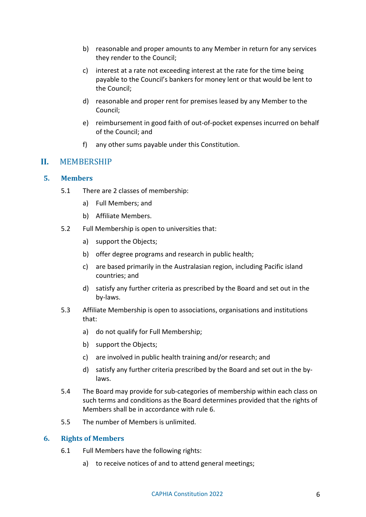- b) reasonable and proper amounts to any Member in return for any services they render to the Council;
- c) interest at a rate not exceeding interest at the rate for the time being payable to the Council's bankers for money lent or that would be lent to the Council;
- d) reasonable and proper rent for premises leased by any Member to the Council;
- e) reimbursement in good faith of out-of-pocket expenses incurred on behalf of the Council; and
- f) any other sums payable under this Constitution.

# <span id="page-5-0"></span>**II.** MEMBERSHIP

# <span id="page-5-1"></span>**5. Members**

- 5.1 There are 2 classes of membership:
	- a) Full Members; and
	- b) Affiliate Members.
- <span id="page-5-3"></span>5.2 Full Membership is open to universities that:
	- a) support the Objects;
	- b) offer degree programs and research in public health;
	- c) are based primarily in the Australasian region, including Pacific island countries; and
	- d) satisfy any further criteria as prescribed by the Board and set out in the by-laws.
- <span id="page-5-4"></span>5.3 Affiliate Membership is open to associations, organisations and institutions that:
	- a) do not qualify for Full Membership;
	- b) support the Objects;
	- c) are involved in public health training and/or research; and
	- d) satisfy any further criteria prescribed by the Board and set out in the bylaws.
- 5.4 The Board may provide for sub-categories of membership within each class on such terms and conditions as the Board determines provided that the rights of Members shall be in accordance with rule [6.](#page-5-2)
- 5.5 The number of Members is unlimited.

#### <span id="page-5-2"></span>**6. Rights of Members**

- 6.1 Full Members have the following rights:
	- a) to receive notices of and to attend general meetings;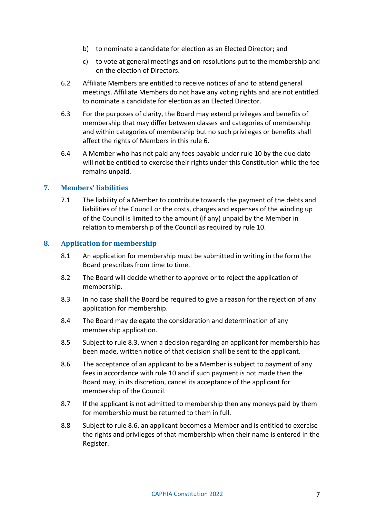- b) to nominate a candidate for election as an Elected Director; and
- c) to vote at general meetings and on resolutions put to the membership and on the election of Directors.
- 6.2 Affiliate Members are entitled to receive notices of and to attend general meetings. Affiliate Members do not have any voting rights and are not entitled to nominate a candidate for election as an Elected Director.
- 6.3 For the purposes of clarity, the Board may extend privileges and benefits of membership that may differ between classes and categories of membership and within categories of membership but no such privileges or benefits shall affect the rights of Members in this rule [6.](#page-5-2)
- 6.4 A Member who has not paid any fees payable under rule [10](#page-7-1) by the due date will not be entitled to exercise their rights under this Constitution while the fee remains unpaid.

# <span id="page-6-0"></span>**7. Members' liabilities**

7.1 The liability of a Member to contribute towards the payment of the debts and liabilities of the Council or the costs, charges and expenses of the winding up of the Council is limited to the amount (if any) unpaid by the Member in relation to membership of the Council as required by rule [10.](#page-7-1)

# <span id="page-6-1"></span>**8. Application for membership**

- 8.1 An application for membership must be submitted in writing in the form the Board prescribes from time to time.
- 8.2 The Board will decide whether to approve or to reject the application of membership.
- <span id="page-6-2"></span>8.3 In no case shall the Board be required to give a reason for the rejection of any application for membership.
- 8.4 The Board may delegate the consideration and determination of any membership application.
- 8.5 Subject to rule [8.3,](#page-6-2) when a decision regarding an applicant for membership has been made, written notice of that decision shall be sent to the applicant.
- <span id="page-6-3"></span>8.6 The acceptance of an applicant to be a Member is subject to payment of any fees in accordance with rule [10](#page-7-1) and if such payment is not made then the Board may, in its discretion, cancel its acceptance of the applicant for membership of the Council.
- 8.7 If the applicant is not admitted to membership then any moneys paid by them for membership must be returned to them in full.
- 8.8 Subject to rule [8.6,](#page-6-3) an applicant becomes a Member and is entitled to exercise the rights and privileges of that membership when their name is entered in the Register.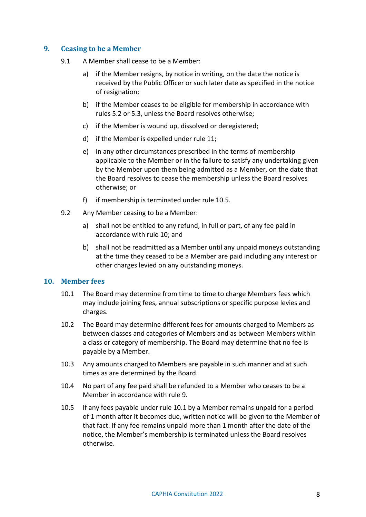# <span id="page-7-0"></span>**9. Ceasing to be a Member**

- 9.1 A Member shall cease to be a Member:
	- a) if the Member resigns, by notice in writing, on the date the notice is received by the Public Officer or such later date as specified in the notice of resignation;
	- b) if the Member ceases to be eligible for membership in accordance with rules [5.2](#page-5-3) o[r 5.3,](#page-5-4) unless the Board resolves otherwise;
	- c) if the Member is wound up, dissolved or deregistered;
	- d) if the Member is expelled under rule [11;](#page-8-0)
	- e) in any other circumstances prescribed in the terms of membership applicable to the Member or in the failure to satisfy any undertaking given by the Member upon them being admitted as a Member, on the date that the Board resolves to cease the membership unless the Board resolves otherwise; or
	- f) if membership is terminated under rule [10.5.](#page-7-2)
- 9.2 Any Member ceasing to be a Member:
	- a) shall not be entitled to any refund, in full or part, of any fee paid in accordance with rule [10;](#page-7-1) and
	- b) shall not be readmitted as a Member until any unpaid moneys outstanding at the time they ceased to be a Member are paid including any interest or other charges levied on any outstanding moneys.

#### <span id="page-7-3"></span><span id="page-7-1"></span>**10. Member fees**

- 10.1 The Board may determine from time to time to charge Members fees which may include joining fees, annual subscriptions or specific purpose levies and charges.
- 10.2 The Board may determine different fees for amounts charged to Members as between classes and categories of Members and as between Members within a class or category of membership. The Board may determine that no fee is payable by a Member.
- 10.3 Any amounts charged to Members are payable in such manner and at such times as are determined by the Board.
- 10.4 No part of any fee paid shall be refunded to a Member who ceases to be a Member in accordance with rule [9.](#page-7-0)
- <span id="page-7-2"></span>10.5 If any fees payable under rule [10.1](#page-7-3) by a Member remains unpaid for a period of 1 month after it becomes due, written notice will be given to the Member of that fact. If any fee remains unpaid more than 1 month after the date of the notice, the Member's membership is terminated unless the Board resolves otherwise.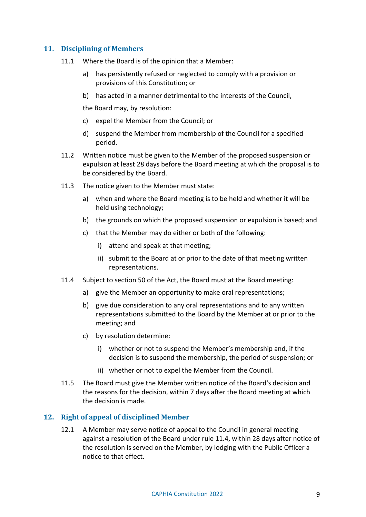# <span id="page-8-0"></span>**11. Disciplining of Members**

- 11.1 Where the Board is of the opinion that a Member:
	- a) has persistently refused or neglected to comply with a provision or provisions of this Constitution; or
	- b) has acted in a manner detrimental to the interests of the Council,

the Board may, by resolution:

- c) expel the Member from the Council; or
- d) suspend the Member from membership of the Council for a specified period.
- 11.2 Written notice must be given to the Member of the proposed suspension or expulsion at least 28 days before the Board meeting at which the proposal is to be considered by the Board.
- 11.3 The notice given to the Member must state:
	- a) when and where the Board meeting is to be held and whether it will be held using technology;
	- b) the grounds on which the proposed suspension or expulsion is based; and
	- c) that the Member may do either or both of the following:
		- i) attend and speak at that meeting;
		- ii) submit to the Board at or prior to the date of that meeting written representations.
- <span id="page-8-2"></span>11.4 Subject to section 50 of the Act, the Board must at the Board meeting:
	- a) give the Member an opportunity to make oral representations;
	- b) give due consideration to any oral representations and to any written representations submitted to the Board by the Member at or prior to the meeting; and
	- c) by resolution determine:
		- i) whether or not to suspend the Member's membership and, if the decision is to suspend the membership, the period of suspension; or
		- ii) whether or not to expel the Member from the Council.
- 11.5 The Board must give the Member written notice of the Board's decision and the reasons for the decision, within 7 days after the Board meeting at which the decision is made.

#### <span id="page-8-3"></span><span id="page-8-1"></span>**12. Right of appeal of disciplined Member**

12.1 A Member may serve notice of appeal to the Council in general meeting against a resolution of the Board under rule [11.4,](#page-8-2) within 28 days after notice of the resolution is served on the Member, by lodging with the Public Officer a notice to that effect.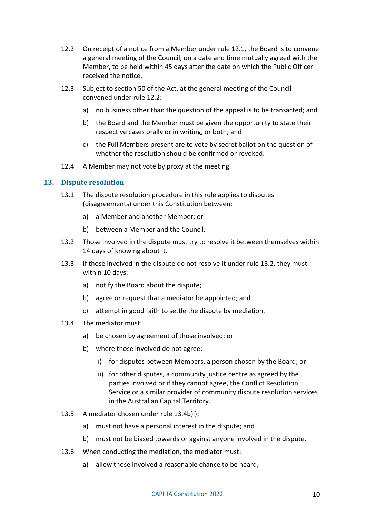- <span id="page-9-1"></span>12.2 On receipt of a notice from a Member under rule [12.1,](#page-8-3) the Board is to convene a general meeting of the Council, on a date and time mutually agreed with the Member, to be held within 45 days after the date on which the Public Officer received the notice.
- 12.3 Subject to section 50 of the Act, at the general meeting of the Council convened under rule [12.2:](#page-9-1)
	- a) no business other than the question of the appeal is to be transacted; and
	- b) the Board and the Member must be given the opportunity to state their respective cases orally or in writing, or both; and
	- c) the Full Members present are to vote by secret ballot on the question of whether the resolution should be confirmed or revoked.
- 12.4 A Member may not vote by proxy at the meeting.

#### <span id="page-9-0"></span>**13. Dispute resolution**

- 13.1 The dispute resolution procedure in this rule applies to disputes (disagreements) under this Constitution between:
	- a) a Member and another Member; or
	- b) between a Member and the Council.
- <span id="page-9-2"></span>13.2 Those involved in the dispute must try to resolve it between themselves within 14 days of knowing about it.
- 13.3 If those involved in the dispute do not resolve it under rule [13.2,](#page-9-2) they must within 10 days:
	- a) notify the Board about the dispute;
	- b) agree or request that a mediator be appointed; and
	- c) attempt in good faith to settle the dispute by mediation.
- <span id="page-9-3"></span>13.4 The mediator must:
	- a) be chosen by agreement of those involved; or
	- b) where those involved do not agree:
		- i) for disputes between Members, a person chosen by the Board; or
		- ii) for other disputes, a community justice centre as agreed by the parties involved or if they cannot agree, the Conflict Resolution Service or a similar provider of community dispute resolution services in the Australian Capital Territory.
- 13.5 A mediator chosen under rule [13.4b\)i\):](#page-9-3)
	- a) must not have a personal interest in the dispute; and
	- b) must not be biased towards or against anyone involved in the dispute.
- 13.6 When conducting the mediation, the mediator must:
	- a) allow those involved a reasonable chance to be heard,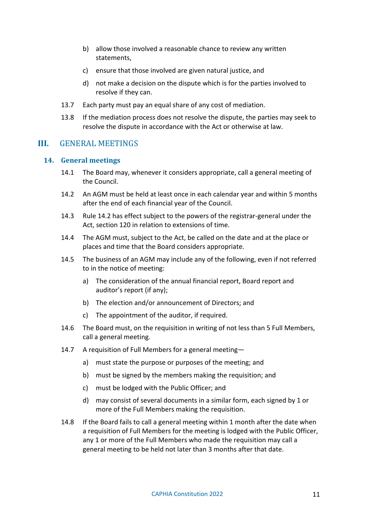- b) allow those involved a reasonable chance to review any written statements,
- c) ensure that those involved are given natural justice, and
- d) not make a decision on the dispute which is for the parties involved to resolve if they can.
- 13.7 Each party must pay an equal share of any cost of mediation.
- 13.8 If the mediation process does not resolve the dispute, the parties may seek to resolve the dispute in accordance with the Act or otherwise at law.

# <span id="page-10-0"></span>**III.** GENERAL MEETINGS

#### <span id="page-10-1"></span>**14. General meetings**

- 14.1 The Board may, whenever it considers appropriate, call a general meeting of the Council.
- <span id="page-10-2"></span>14.2 An AGM must be held at least once in each calendar year and within 5 months after the end of each financial year of the Council.
- 14.3 Rule [14.2](#page-10-2) has effect subject to the powers of the registrar-general under the Act, section 120 in relation to extensions of time.
- 14.4 The AGM must, subject to the Act, be called on the date and at the place or places and time that the Board considers appropriate.
- <span id="page-10-4"></span>14.5 The business of an AGM may include any of the following, even if not referred to in the notice of meeting:
	- a) The consideration of the annual financial report, Board report and auditor's report (if any);
	- b) The election and/or announcement of Directors; and
	- c) The appointment of the auditor, if required.
- 14.6 The Board must, on the requisition in writing of not less than 5 Full Members, call a general meeting.
- 14.7 A requisition of Full Members for a general meeting
	- a) must state the purpose or purposes of the meeting; and
	- b) must be signed by the members making the requisition; and
	- c) must be lodged with the Public Officer; and
	- d) may consist of several documents in a similar form, each signed by 1 or more of the Full Members making the requisition.
- <span id="page-10-3"></span>14.8 If the Board fails to call a general meeting within 1 month after the date when a requisition of Full Members for the meeting is lodged with the Public Officer, any 1 or more of the Full Members who made the requisition may call a general meeting to be held not later than 3 months after that date.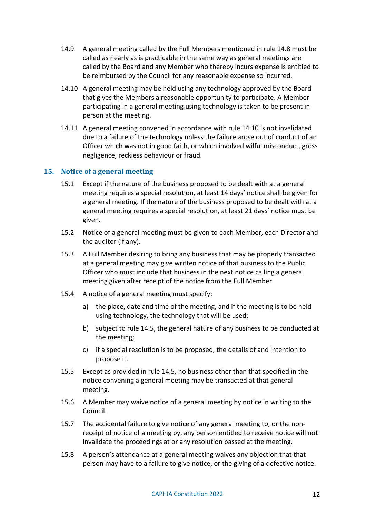- 14.9 A general meeting called by the Full Members mentioned in rule [14.8](#page-10-3) must be called as nearly as is practicable in the same way as general meetings are called by the Board and any Member who thereby incurs expense is entitled to be reimbursed by the Council for any reasonable expense so incurred.
- <span id="page-11-1"></span>14.10 A general meeting may be held using any technology approved by the Board that gives the Members a reasonable opportunity to participate. A Member participating in a general meeting using technology is taken to be present in person at the meeting.
- 14.11 A general meeting convened in accordance with rule [14.10](#page-11-1) is not invalidated due to a failure of the technology unless the failure arose out of conduct of an Officer which was not in good faith, or which involved wilful misconduct, gross negligence, reckless behaviour or fraud.

# <span id="page-11-0"></span>**15. Notice of a general meeting**

- 15.1 Except if the nature of the business proposed to be dealt with at a general meeting requires a special resolution, at least 14 days' notice shall be given for a general meeting. If the nature of the business proposed to be dealt with at a general meeting requires a special resolution, at least 21 days' notice must be given.
- 15.2 Notice of a general meeting must be given to each Member, each Director and the auditor (if any).
- 15.3 A Full Member desiring to bring any business that may be properly transacted at a general meeting may give written notice of that business to the Public Officer who must include that business in the next notice calling a general meeting given after receipt of the notice from the Full Member.
- 15.4 A notice of a general meeting must specify:
	- a) the place, date and time of the meeting, and if the meeting is to be held using technology, the technology that will be used;
	- b) subject to rule [14.5,](#page-10-4) the general nature of any business to be conducted at the meeting;
	- c) if a special resolution is to be proposed, the details of and intention to propose it.
- 15.5 Except as provided in rule [14.5,](#page-10-4) no business other than that specified in the notice convening a general meeting may be transacted at that general meeting.
- 15.6 A Member may waive notice of a general meeting by notice in writing to the Council.
- 15.7 The accidental failure to give notice of any general meeting to, or the nonreceipt of notice of a meeting by, any person entitled to receive notice will not invalidate the proceedings at or any resolution passed at the meeting.
- 15.8 A person's attendance at a general meeting waives any objection that that person may have to a failure to give notice, or the giving of a defective notice.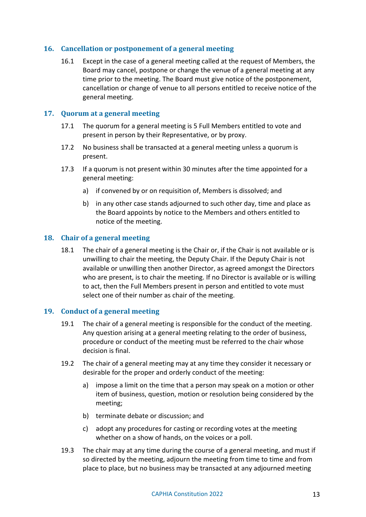# <span id="page-12-0"></span>**16. Cancellation or postponement of a general meeting**

16.1 Except in the case of a general meeting called at the request of Members, the Board may cancel, postpone or change the venue of a general meeting at any time prior to the meeting. The Board must give notice of the postponement, cancellation or change of venue to all persons entitled to receive notice of the general meeting.

# <span id="page-12-1"></span>**17. Quorum at a general meeting**

- 17.1 The quorum for a general meeting is 5 Full Members entitled to vote and present in person by their Representative, or by proxy.
- 17.2 No business shall be transacted at a general meeting unless a quorum is present.
- 17.3 If a quorum is not present within 30 minutes after the time appointed for a general meeting:
	- a) if convened by or on requisition of, Members is dissolved; and
	- b) in any other case stands adjourned to such other day, time and place as the Board appoints by notice to the Members and others entitled to notice of the meeting.

#### <span id="page-12-2"></span>**18. Chair of a general meeting**

18.1 The chair of a general meeting is the Chair or, if the Chair is not available or is unwilling to chair the meeting, the Deputy Chair. If the Deputy Chair is not available or unwilling then another Director, as agreed amongst the Directors who are present, is to chair the meeting. If no Director is available or is willing to act, then the Full Members present in person and entitled to vote must select one of their number as chair of the meeting.

#### <span id="page-12-3"></span>**19. Conduct of a general meeting**

- 19.1 The chair of a general meeting is responsible for the conduct of the meeting. Any question arising at a general meeting relating to the order of business, procedure or conduct of the meeting must be referred to the chair whose decision is final.
- 19.2 The chair of a general meeting may at any time they consider it necessary or desirable for the proper and orderly conduct of the meeting:
	- a) impose a limit on the time that a person may speak on a motion or other item of business, question, motion or resolution being considered by the meeting;
	- b) terminate debate or discussion; and
	- c) adopt any procedures for casting or recording votes at the meeting whether on a show of hands, on the voices or a poll.
- 19.3 The chair may at any time during the course of a general meeting, and must if so directed by the meeting, adjourn the meeting from time to time and from place to place, but no business may be transacted at any adjourned meeting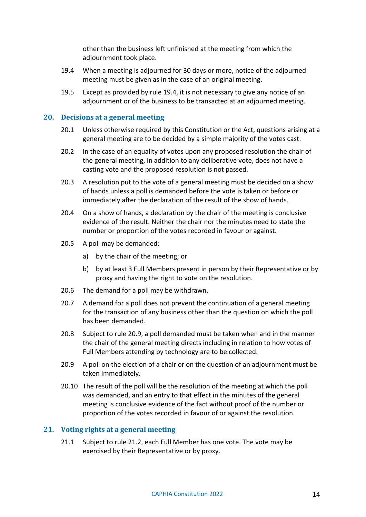other than the business left unfinished at the meeting from which the adjournment took place.

- <span id="page-13-2"></span>19.4 When a meeting is adjourned for 30 days or more, notice of the adjourned meeting must be given as in the case of an original meeting.
- 19.5 Except as provided by rule [19.4,](#page-13-2) it is not necessary to give any notice of an adjournment or of the business to be transacted at an adjourned meeting.

# <span id="page-13-0"></span>**20. Decisions at a general meeting**

- 20.1 Unless otherwise required by this Constitution or the Act, questions arising at a general meeting are to be decided by a simple majority of the votes cast.
- 20.2 In the case of an equality of votes upon any proposed resolution the chair of the general meeting, in addition to any deliberative vote, does not have a casting vote and the proposed resolution is not passed.
- 20.3 A resolution put to the vote of a general meeting must be decided on a show of hands unless a poll is demanded before the vote is taken or before or immediately after the declaration of the result of the show of hands.
- 20.4 On a show of hands, a declaration by the chair of the meeting is conclusive evidence of the result. Neither the chair nor the minutes need to state the number or proportion of the votes recorded in favour or against.
- 20.5 A poll may be demanded:
	- a) by the chair of the meeting; or
	- b) by at least 3 Full Members present in person by their Representative or by proxy and having the right to vote on the resolution.
- 20.6 The demand for a poll may be withdrawn.
- 20.7 A demand for a poll does not prevent the continuation of a general meeting for the transaction of any business other than the question on which the poll has been demanded.
- 20.8 Subject to rule [20.9,](#page-13-3) a poll demanded must be taken when and in the manner the chair of the general meeting directs including in relation to how votes of Full Members attending by technology are to be collected.
- <span id="page-13-3"></span>20.9 A poll on the election of a chair or on the question of an adjournment must be taken immediately.
- 20.10 The result of the poll will be the resolution of the meeting at which the poll was demanded, and an entry to that effect in the minutes of the general meeting is conclusive evidence of the fact without proof of the number or proportion of the votes recorded in favour of or against the resolution.

#### <span id="page-13-1"></span>**21. Voting rights at a general meeting**

21.1 Subject to rule [21.2,](#page-14-3) each Full Member has one vote. The vote may be exercised by their Representative or by proxy.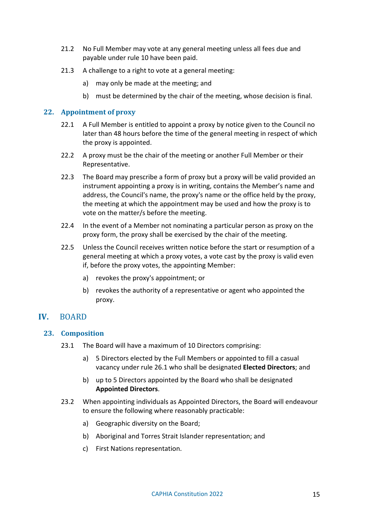- <span id="page-14-3"></span>21.2 No Full Member may vote at any general meeting unless all fees due and payable under rule [10](#page-7-1) have been paid.
- 21.3 A challenge to a right to vote at a general meeting:
	- a) may only be made at the meeting; and
	- b) must be determined by the chair of the meeting, whose decision is final.

# <span id="page-14-0"></span>**22. Appointment of proxy**

- 22.1 A Full Member is entitled to appoint a proxy by notice given to the Council no later than 48 hours before the time of the general meeting in respect of which the proxy is appointed.
- 22.2 A proxy must be the chair of the meeting or another Full Member or their Representative.
- 22.3 The Board may prescribe a form of proxy but a proxy will be valid provided an instrument appointing a proxy is in writing, contains the Member's name and address, the Council's name, the proxy's name or the office held by the proxy, the meeting at which the appointment may be used and how the proxy is to vote on the matter/s before the meeting.
- 22.4 In the event of a Member not nominating a particular person as proxy on the proxy form, the proxy shall be exercised by the chair of the meeting.
- 22.5 Unless the Council receives written notice before the start or resumption of a general meeting at which a proxy votes, a vote cast by the proxy is valid even if, before the proxy votes, the appointing Member:
	- a) revokes the proxy's appointment; or
	- b) revokes the authority of a representative or agent who appointed the proxy.

# <span id="page-14-1"></span>**IV.** BOARD

#### <span id="page-14-5"></span><span id="page-14-2"></span>**23. Composition**

- 23.1 The Board will have a maximum of 10 Directors comprising:
	- a) 5 Directors elected by the Full Members or appointed to fill a casual vacancy under rule [26.1](#page-15-4) who shall be designated **Elected Directors**; and
	- b) up to 5 Directors appointed by the Board who shall be designated **Appointed Directors**.
- <span id="page-14-4"></span>23.2 When appointing individuals as Appointed Directors, the Board will endeavour to ensure the following where reasonably practicable:
	- a) Geographic diversity on the Board;
	- b) Aboriginal and Torres Strait Islander representation; and
	- c) First Nations representation.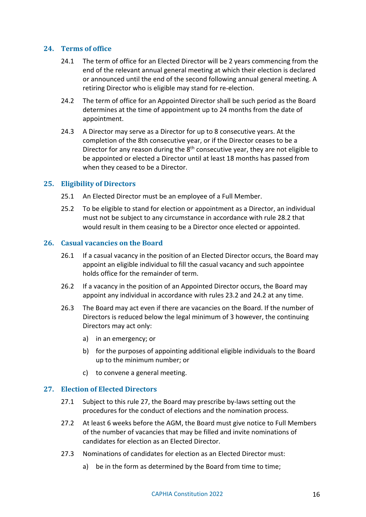# <span id="page-15-0"></span>**24. Terms of office**

- 24.1 The term of office for an Elected Director will be 2 years commencing from the end of the relevant annual general meeting at which their election is declared or announced until the end of the second following annual general meeting. A retiring Director who is eligible may stand for re-election.
- <span id="page-15-5"></span>24.2 The term of office for an Appointed Director shall be such period as the Board determines at the time of appointment up to 24 months from the date of appointment.
- <span id="page-15-6"></span>24.3 A Director may serve as a Director for up to 8 consecutive years. At the completion of the 8th consecutive year, or if the Director ceases to be a Director for any reason during the  $8<sup>th</sup>$  consecutive year, they are not eligible to be appointed or elected a Director until at least 18 months has passed from when they ceased to be a Director.

# <span id="page-15-1"></span>**25. Eligibility of Directors**

- 25.1 An Elected Director must be an employee of a Full Member.
- 25.2 To be eligible to stand for election or appointment as a Director, an individual must not be subject to any circumstance in accordance with rul[e 28.2](#page-16-1) that would result in them ceasing to be a Director once elected or appointed.

# <span id="page-15-4"></span><span id="page-15-2"></span>**26. Casual vacancies on the Board**

- 26.1 If a casual vacancy in the position of an Elected Director occurs, the Board may appoint an eligible individual to fill the casual vacancy and such appointee holds office for the remainder of term.
- 26.2 If a vacancy in the position of an Appointed Director occurs, the Board may appoint any individual in accordance with rules [23.2](#page-14-4) and [24.2](#page-15-5) at any time.
- 26.3 The Board may act even if there are vacancies on the Board. If the number of Directors is reduced below the legal minimum of 3 however, the continuing Directors may act only:
	- a) in an emergency; or
	- b) for the purposes of appointing additional eligible individuals to the Board up to the minimum number; or
	- c) to convene a general meeting.

# <span id="page-15-3"></span>**27. Election of Elected Directors**

- 27.1 Subject to this rule [27,](#page-15-3) the Board may prescribe by-laws setting out the procedures for the conduct of elections and the nomination process.
- 27.2 At least 6 weeks before the AGM, the Board must give notice to Full Members of the number of vacancies that may be filled and invite nominations of candidates for election as an Elected Director.
- 27.3 Nominations of candidates for election as an Elected Director must:
	- a) be in the form as determined by the Board from time to time;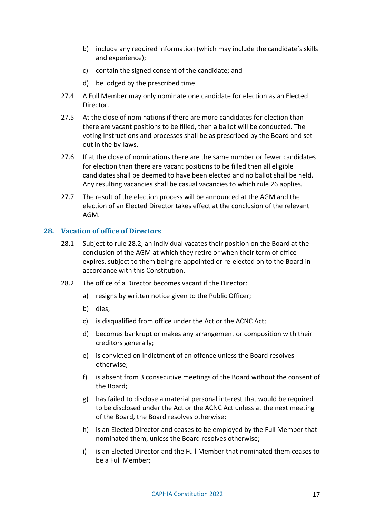- b) include any required information (which may include the candidate's skills and experience);
- c) contain the signed consent of the candidate; and
- d) be lodged by the prescribed time.
- 27.4 A Full Member may only nominate one candidate for election as an Elected Director.
- 27.5 At the close of nominations if there are more candidates for election than there are vacant positions to be filled, then a ballot will be conducted. The voting instructions and processes shall be as prescribed by the Board and set out in the by-laws.
- 27.6 If at the close of nominations there are the same number or fewer candidates for election than there are vacant positions to be filled then all eligible candidates shall be deemed to have been elected and no ballot shall be held. Any resulting vacancies shall be casual vacancies to which rule [26](#page-15-2) applies.
- 27.7 The result of the election process will be announced at the AGM and the election of an Elected Director takes effect at the conclusion of the relevant AGM.

# <span id="page-16-0"></span>**28. Vacation of office of Directors**

- 28.1 Subject to rule [28.2,](#page-16-1) an individual vacates their position on the Board at the conclusion of the AGM at which they retire or when their term of office expires, subject to them being re-appointed or re-elected on to the Board in accordance with this Constitution.
- <span id="page-16-1"></span>28.2 The office of a Director becomes vacant if the Director:
	- a) resigns by written notice given to the Public Officer;
	- b) dies;
	- c) is disqualified from office under the Act or the ACNC Act;
	- d) becomes bankrupt or makes any arrangement or composition with their creditors generally;
	- e) is convicted on indictment of an offence unless the Board resolves otherwise;
	- f) is absent from 3 consecutive meetings of the Board without the consent of the Board;
	- g) has failed to disclose a material personal interest that would be required to be disclosed under the Act or the ACNC Act unless at the next meeting of the Board, the Board resolves otherwise;
	- h) is an Elected Director and ceases to be employed by the Full Member that nominated them, unless the Board resolves otherwise;
	- i) is an Elected Director and the Full Member that nominated them ceases to be a Full Member;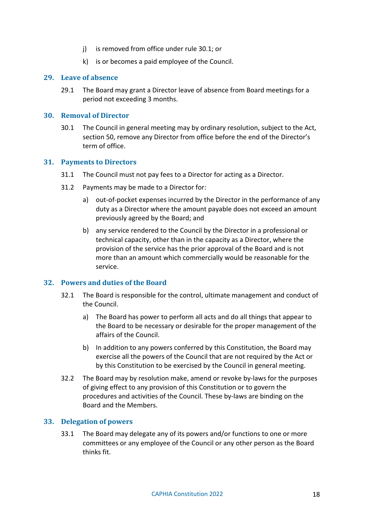- j) is removed from office under rule [30.1;](#page-17-5) or
- k) is or becomes a paid employee of the Council.

#### <span id="page-17-0"></span>**29. Leave of absence**

29.1 The Board may grant a Director leave of absence from Board meetings for a period not exceeding 3 months.

#### <span id="page-17-5"></span><span id="page-17-1"></span>**30. Removal of Director**

30.1 The Council in general meeting may by ordinary resolution, subject to the Act, section 50, remove any Director from office before the end of the Director's term of office.

#### <span id="page-17-2"></span>**31. Payments to Directors**

- 31.1 The Council must not pay fees to a Director for acting as a Director.
- 31.2 Payments may be made to a Director for:
	- a) out-of-pocket expenses incurred by the Director in the performance of any duty as a Director where the amount payable does not exceed an amount previously agreed by the Board; and
	- b) any service rendered to the Council by the Director in a professional or technical capacity, other than in the capacity as a Director, where the provision of the service has the prior approval of the Board and is not more than an amount which commercially would be reasonable for the service.

# <span id="page-17-3"></span>**32. Powers and duties of the Board**

- 32.1 The Board is responsible for the control, ultimate management and conduct of the Council.
	- a) The Board has power to perform all acts and do all things that appear to the Board to be necessary or desirable for the proper management of the affairs of the Council.
	- b) In addition to any powers conferred by this Constitution, the Board may exercise all the powers of the Council that are not required by the Act or by this Constitution to be exercised by the Council in general meeting.
- 32.2 The Board may by resolution make, amend or revoke by-laws for the purposes of giving effect to any provision of this Constitution or to govern the procedures and activities of the Council. These by-laws are binding on the Board and the Members.

#### <span id="page-17-4"></span>**33. Delegation of powers**

33.1 The Board may delegate any of its powers and/or functions to one or more committees or any employee of the Council or any other person as the Board thinks fit.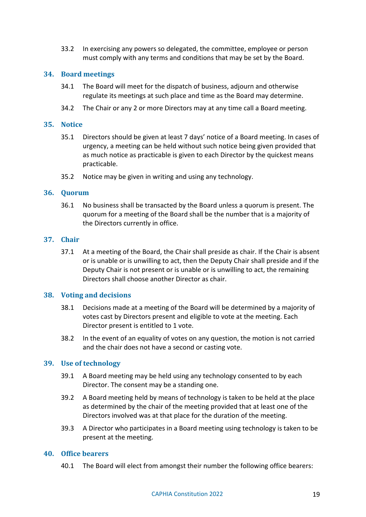33.2 In exercising any powers so delegated, the committee, employee or person must comply with any terms and conditions that may be set by the Board.

#### <span id="page-18-0"></span>**34. Board meetings**

- 34.1 The Board will meet for the dispatch of business, adjourn and otherwise regulate its meetings at such place and time as the Board may determine.
- 34.2 The Chair or any 2 or more Directors may at any time call a Board meeting.

#### <span id="page-18-1"></span>**35. Notice**

- 35.1 Directors should be given at least 7 days' notice of a Board meeting. In cases of urgency, a meeting can be held without such notice being given provided that as much notice as practicable is given to each Director by the quickest means practicable.
- 35.2 Notice may be given in writing and using any technology.

#### <span id="page-18-2"></span>**36. Quorum**

36.1 No business shall be transacted by the Board unless a quorum is present. The quorum for a meeting of the Board shall be the number that is a majority of the Directors currently in office.

#### <span id="page-18-3"></span>**37. Chair**

37.1 At a meeting of the Board, the Chair shall preside as chair. If the Chair is absent or is unable or is unwilling to act, then the Deputy Chair shall preside and if the Deputy Chair is not present or is unable or is unwilling to act, the remaining Directors shall choose another Director as chair.

#### <span id="page-18-4"></span>**38. Voting and decisions**

- 38.1 Decisions made at a meeting of the Board will be determined by a majority of votes cast by Directors present and eligible to vote at the meeting. Each Director present is entitled to 1 vote.
- 38.2 In the event of an equality of votes on any question, the motion is not carried and the chair does not have a second or casting vote.

#### <span id="page-18-5"></span>**39. Use of technology**

- 39.1 A Board meeting may be held using any technology consented to by each Director. The consent may be a standing one.
- 39.2 A Board meeting held by means of technology is taken to be held at the place as determined by the chair of the meeting provided that at least one of the Directors involved was at that place for the duration of the meeting.
- 39.3 A Director who participates in a Board meeting using technology is taken to be present at the meeting.

#### <span id="page-18-7"></span><span id="page-18-6"></span>**40. Office bearers**

40.1 The Board will elect from amongst their number the following office bearers: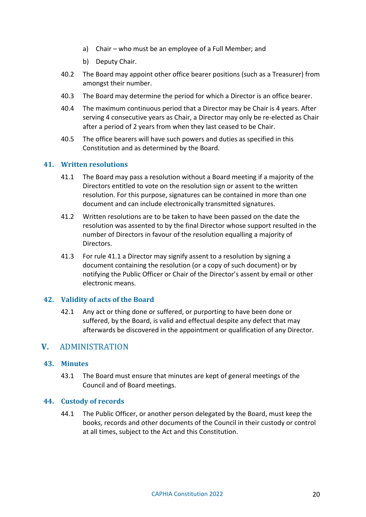- a) Chair who must be an employee of a Full Member; and
- b) Deputy Chair.
- 40.2 The Board may appoint other office bearer positions (such as a Treasurer) from amongst their number.
- 40.3 The Board may determine the period for which a Director is an office bearer.
- 40.4 The maximum continuous period that a Director may be Chair is 4 years. After serving 4 consecutive years as Chair, a Director may only be re-elected as Chair after a period of 2 years from when they last ceased to be Chair.
- 40.5 The office bearers will have such powers and duties as specified in this Constitution and as determined by the Board.

# <span id="page-19-5"></span><span id="page-19-0"></span>**41. Written resolutions**

- 41.1 The Board may pass a resolution without a Board meeting if a majority of the Directors entitled to vote on the resolution sign or assent to the written resolution. For this purpose, signatures can be contained in more than one document and can include electronically transmitted signatures.
- 41.2 Written resolutions are to be taken to have been passed on the date the resolution was assented to by the final Director whose support resulted in the number of Directors in favour of the resolution equalling a majority of Directors.
- 41.3 For rule [41.1](#page-19-5) a Director may signify assent to a resolution by signing a document containing the resolution (or a copy of such document) or by notifying the Public Officer or Chair of the Director's assent by email or other electronic means.

# <span id="page-19-1"></span>**42. Validity of acts of the Board**

42.1 Any act or thing done or suffered, or purporting to have been done or suffered, by the Board, is valid and effectual despite any defect that may afterwards be discovered in the appointment or qualification of any Director.

# <span id="page-19-2"></span>**V.** ADMINISTRATION

#### <span id="page-19-3"></span>**43. Minutes**

43.1 The Board must ensure that minutes are kept of general meetings of the Council and of Board meetings.

#### <span id="page-19-4"></span>**44. Custody of records**

44.1 The Public Officer, or another person delegated by the Board, must keep the books, records and other documents of the Council in their custody or control at all times, subject to the Act and this Constitution.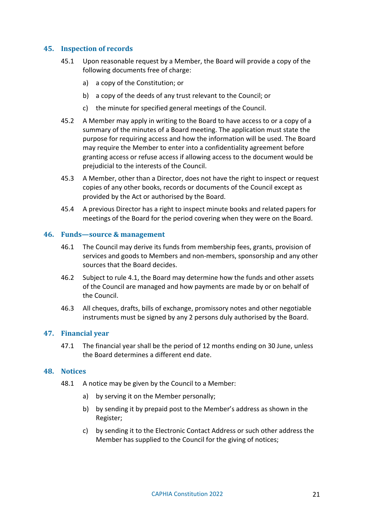# <span id="page-20-0"></span>**45. Inspection of records**

- 45.1 Upon reasonable request by a Member, the Board will provide a copy of the following documents free of charge:
	- a) a copy of the Constitution; or
	- b) a copy of the deeds of any trust relevant to the Council; or
	- c) the minute for specified general meetings of the Council.
- 45.2 A Member may apply in writing to the Board to have access to or a copy of a summary of the minutes of a Board meeting. The application must state the purpose for requiring access and how the information will be used. The Board may require the Member to enter into a confidentiality agreement before granting access or refuse access if allowing access to the document would be prejudicial to the interests of the Council.
- 45.3 A Member, other than a Director, does not have the right to inspect or request copies of any other books, records or documents of the Council except as provided by the Act or authorised by the Board.
- 45.4 A previous Director has a right to inspect minute books and related papers for meetings of the Board for the period covering when they were on the Board.

# <span id="page-20-1"></span>**46. Funds—source & management**

- 46.1 The Council may derive its funds from membership fees, grants, provision of services and goods to Members and non-members, sponsorship and any other sources that the Board decides.
- 46.2 Subject to rule [4.1,](#page-4-2) the Board may determine how the funds and other assets of the Council are managed and how payments are made by or on behalf of the Council.
- 46.3 All cheques, drafts, bills of exchange, promissory notes and other negotiable instruments must be signed by any 2 persons duly authorised by the Board.

# <span id="page-20-2"></span>**47. Financial year**

47.1 The financial year shall be the period of 12 months ending on 30 June, unless the Board determines a different end date.

#### <span id="page-20-3"></span>**48. Notices**

- 48.1 A notice may be given by the Council to a Member:
	- a) by serving it on the Member personally;
	- b) by sending it by prepaid post to the Member's address as shown in the Register;
	- c) by sending it to the Electronic Contact Address or such other address the Member has supplied to the Council for the giving of notices;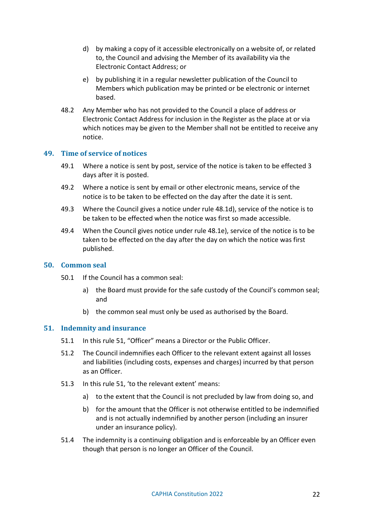- <span id="page-21-3"></span>d) by making a copy of it accessible electronically on a website of, or related to, the Council and advising the Member of its availability via the Electronic Contact Address; or
- e) by publishing it in a regular newsletter publication of the Council to Members which publication may be printed or be electronic or internet based.
- <span id="page-21-4"></span>48.2 Any Member who has not provided to the Council a place of address or Electronic Contact Address for inclusion in the Register as the place at or via which notices may be given to the Member shall not be entitled to receive any notice.

#### <span id="page-21-0"></span>**49. Time of service of notices**

- 49.1 Where a notice is sent by post, service of the notice is taken to be effected 3 days after it is posted.
- 49.2 Where a notice is sent by email or other electronic means, service of the notice is to be taken to be effected on the day after the date it is sent.
- 49.3 Where the Council gives a notice under rule [48.1d\),](#page-21-3) service of the notice is to be taken to be effected when the notice was first so made accessible.
- 49.4 When the Council gives notice under rule [48.1e\),](#page-21-4) service of the notice is to be taken to be effected on the day after the day on which the notice was first published.

#### <span id="page-21-1"></span>**50. Common seal**

- 50.1 If the Council has a common seal:
	- a) the Board must provide for the safe custody of the Council's common seal; and
	- b) the common seal must only be used as authorised by the Board.

#### <span id="page-21-2"></span>**51. Indemnity and insurance**

- 51.1 In this rule [51,](#page-21-2) "Officer" means a Director or the Public Officer.
- 51.2 The Council indemnifies each Officer to the relevant extent against all losses and liabilities (including costs, expenses and charges) incurred by that person as an Officer.
- 51.3 In this rule [51,](#page-21-2) 'to the relevant extent' means:
	- a) to the extent that the Council is not precluded by law from doing so, and
	- b) for the amount that the Officer is not otherwise entitled to be indemnified and is not actually indemnified by another person (including an insurer under an insurance policy).
- 51.4 The indemnity is a continuing obligation and is enforceable by an Officer even though that person is no longer an Officer of the Council.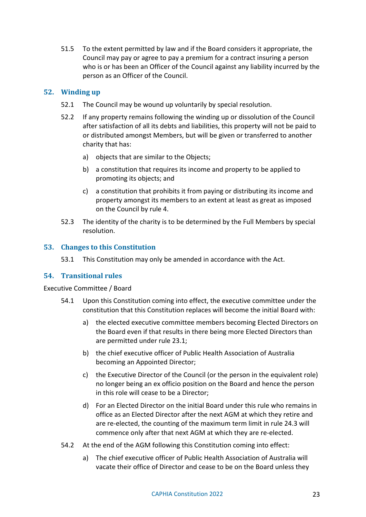51.5 To the extent permitted by law and if the Board considers it appropriate, the Council may pay or agree to pay a premium for a contract insuring a person who is or has been an Officer of the Council against any liability incurred by the person as an Officer of the Council.

# <span id="page-22-0"></span>**52. Winding up**

- 52.1 The Council may be wound up voluntarily by special resolution.
- 52.2 If any property remains following the winding up or dissolution of the Council after satisfaction of all its debts and liabilities, this property will not be paid to or distributed amongst Members, but will be given or transferred to another charity that has:
	- a) objects that are similar to the Objects;
	- b) a constitution that requires its income and property to be applied to promoting its objects; and
	- c) a constitution that prohibits it from paying or distributing its income and property amongst its members to an extent at least as great as imposed on the Council by rule [4.](#page-4-3)
- 52.3 The identity of the charity is to be determined by the Full Members by special resolution.

# <span id="page-22-1"></span>**53. Changes to this Constitution**

53.1 This Constitution may only be amended in accordance with the Act.

#### <span id="page-22-2"></span>**54. Transitional rules**

#### Executive Committee / Board

- 54.1 Upon this Constitution coming into effect, the executive committee under the constitution that this Constitution replaces will become the initial Board with:
	- a) the elected executive committee members becoming Elected Directors on the Board even if that results in there being more Elected Directors than are permitted under rule [23.1;](#page-14-5)
	- b) the chief executive officer of Public Health Association of Australia becoming an Appointed Director;
	- c) the Executive Director of the Council (or the person in the equivalent role) no longer being an ex officio position on the Board and hence the person in this role will cease to be a Director;
	- d) For an Elected Director on the initial Board under this rule who remains in office as an Elected Director after the next AGM at which they retire and are re-elected, the counting of the maximum term limit in rule [24.3](#page-15-6) will commence only after that next AGM at which they are re-elected.
- 54.2 At the end of the AGM following this Constitution coming into effect:
	- a) The chief executive officer of Public Health Association of Australia will vacate their office of Director and cease to be on the Board unless they